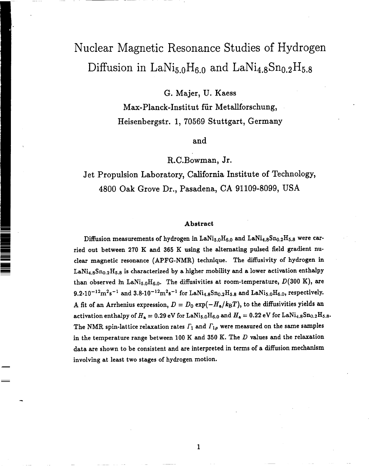# Nuclear Magnetic Resonance Studies of Hydrogen Diffusion in  $\text{LaNi}_{5.0}\text{H}_{6.0}$  and  $\text{LaNi}_{4.8}\text{Sn}_{0.2}\text{H}_{5.8}$

G. Majer, U. Kaess

Max-Planck-Institut für Metallforschung, Heisenbergstr. 1, 70569 Stuttgart, Germany

and

R.C.Bowman, Jr.

Jet Propulsion Laboratory, California Institute of Technology, 4800 Oak Grove Dr., Pasadena, CA 91109-8099, USA

#### Abstract

Diffusion measurements of hydrogen in LaNi<sub>5.0</sub>H<sub>6.0</sub> and LaNi<sub>4.8</sub>Sn<sub>0.2</sub>H<sub>5.8</sub> were carried out between 270 K and 365 K using the alternating pulsed field gradient nuclear magnetic resonance (APFG-NMR) technique. The diffusivity of hydrogen in  $\text{LaNi}_{4.8}\text{Sn}_{0.2}\text{H}_{5.8}$  is characterized by a higher mobility and a lower activation enthalpy than observed in LaNi<sub>5.0</sub>H<sub>6.0</sub>. The diffusivities at room-temperature,  $D(300 \text{ K})$ , are  $9.2 \cdot 10^{-12} \text{m}^2 \text{s}^{-1}$  and  $3.8 \cdot 10^{-12} \text{m}^2 \text{s}^{-1}$  for LaNi<sub>4.8</sub>S $n_{0.2}H_{5.8}$  and LaNi<sub>5.0</sub>H<sub>6.0</sub>, respectively. A fit of an Arrhenius expression,  $D = D_0 \exp(-H_a/k_BT)$ , to the diffusivities yields an activation enthalpy of  $H_{\tt a} = 0.29$  eV for LaNi $_{5.0}$ H $_{6.0}$  and  $H_{\tt a} = 0.22$  eV for LaNi $_{4.8}$ Sn $_{0.2}$ H $_{5.8}$ . The NMR spin-lattice relaxation rates  $\Gamma_1$  and  $\Gamma_{1\rho}$  were measured on the same samples in the temperature range between 100 K and 350 K. The  $D$  values and the relaxation data are shown to be consistent and are interpreted in terms of a diffusion mechanism involving at least two stages of hydrogen motion.

 $\mathbf{1}$ 

—

—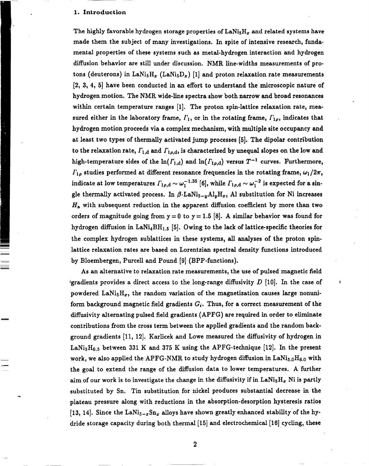#### . 1. Introduction

-

=

—

.-

The highly favorable hydrogen storage properties of  $\text{LaNi}_5\text{H}_x$  and related systems have made them the subject of many investigations. In spite of intensive research, fundamental properties of these systems such as metal-hydrogen interaction and hydrogen diffusion behavior are still under discussion. NMR line-widths measurements of protons (deuterons) in LaNi<sub>5</sub>H<sub>x</sub> (LaNi<sub>5</sub>D<sub>x</sub>) [1] and proton relaxation rate measurements [2, 3,4, 5] have been conducted in an effort to understand the microscopic nature of hydrogen motion. The NMR wide-line spectra show both narrow and broad resonances within certain temperature ranges [1]. The proton spin-lattice relaxation rate, measured either in the laboratory frame,  $\Gamma_1$ , or in the rotating frame,  $\Gamma_{1\rho}$ , indicates that hydrogen motion proceeds via a complex mechanism, with multiple site occupancy and at least two types of thermally activated jump processes [5]. The dipolar contribution to the relaxation rate,  $\Gamma_{1,d}$  and  $\Gamma_{1,d}$ , is characterized by unequal slopes on the low and high-temperature sides of the  $\ln(\Gamma_{1,d})$  and  $\ln(\Gamma_{1,\rho,d})$  versus  $T^{-1}$  curves. Furthermore,  $\Gamma_{1\rho}$  studies performed at different resonance frequencies in the rotating frame,  $\omega_1/2\pi$ , indicate at low temperatures  $\Gamma_{1\rho,d} \sim \omega_1^{-1.35}$  [6], while  $\Gamma_{1\rho,d} \sim \omega_1^{-2}$  is expected for a single thermally activated process. In  $\beta$ -LaNi<sub>5-y</sub>Al<sub>y</sub>H<sub>x</sub>, Al substitution for Ni increases *Ha* with subsequent reduction in the apparent difhsion coefficient by more than two orders of magnitude going from  $y = 0$  to  $y = 1.5$  [8]. A similar behavior was found for hydrogen diffusion in LaNi<sub>4</sub>BH<sub>1.5</sub> [5]. Owing to the lack of lattice-specific theories for the complex hydrogen sublattices in these systems, all analyses of the proton spin lattice relaxation rates are based on Lorentzian spectral density functions introduced by Bloembergen, Purcell and Pound [9] (BPP-functions).

— As an alternative to relaxation rate measurements, the use of pulsed magnetic field 'gradients provides a direct access to the long-range diffusivity  $D$  [10]. In the case of powdered LaNi<sub>5</sub>H<sub>x</sub>, the random variation of the magnetization causes large nonuniform background magnetic field gradients  $G_i$ . Thus, for a correct measurement of the diffusivity alternating pulsed field gradients (APFG) are required in order to eliminate contributions from the cross term between the applied gradients and the random background gradients [11, 12]. Karlicek and Lowe measured the diffusivity of hydrogen in LaNi<sub>5</sub>H<sub>6.5</sub> between 331 K and 375 K using the APFG-technique [12]. In the present work, we also applied the APFG-NMR to study hydrogen diffusion in  $\text{LaNi}_{5.0}\text{H}_{6.0}$  with the goal to extend the range of the diffusion data to lower temperatures. A further aim of our work is to investigate the change in the diffusivity if in LaNi $_5H_x$  Ni is partly substituted by Sn. Tin substitution for nickel produces substantial decrease in the plateau pressure along with reductions in the absorption-desorption hysteresis ratios [13, 14]. Since the LaNi<sub>5-x</sub>Sn<sub>x</sub> alloys have shown greatly enhanced stability of the hydride storage capacity during both thermal [15] and electrochemical [16] cycling, these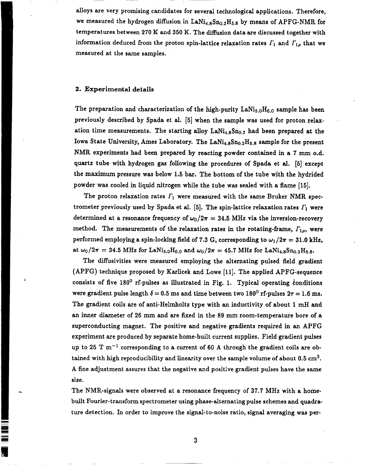alloys are very promising candidates for several technological applications. Therefore, we measured the hydrogen diffusion in  $\text{LaNi}_{4.8}\text{Sn}_{0.2}\text{H}_{5.8}$  by means of APFG-NMR for temperatures between 270 K and 350 K. The diffusion data are discussed together with information deduced from the proton spin-lattice relaxation rates  $\Gamma_1$  and  $\Gamma_{1\rho}$  that we measured at the same samples.

#### 2. Experimental details

;

The preparation and characterization of the high-purity  $\text{LaNi}_{5.0}\text{H}_{6.0}$  sample has been previously described by Spada et al. [5] when the sample was used for proton relaxation time measurements. The starting alloy  $\text{LaNi}_{4,8}\text{Sn}_{0,2}$  had been prepared at the Iowa State University, Ames Laboratory. The LaNi<sub>4.8</sub>Sn<sub>0.2</sub>H<sub>5.8</sub> sample for the present NMR experiments had been prepared by reacting powder contained in a 7 mm o.d. quartz tube with hydrogen gas following the procedures of Spada et al. [5] except the maximum pressure was below 1.5 bar. The bottom of the tube with the hydrided powder was cooled in liquid nitrogen while the tube was sealed with a flame [15].

The proton relaxation rates  $\Gamma_1$  were measured with the same Bruker NMR spectrometer previously used by Spada et al. [5]. The spin-lattice relaxation rates  $\Gamma_1$  were determined at a resonance frequency of  $\omega_0/2\pi = 34.5$  MHz via the inversion-recovery method. The measurements of the relaxation rates in the rotating-frame,  $\Gamma_{1o}$ , were performed employing a spin-locking field of 7.3 G, corresponding to  $\omega_1/2\pi = 31.0$  kHz, at  $\omega_0/2\pi = 34.5$  MHz for LaNi<sub>5.0</sub>H<sub>6.0</sub> and  $\omega_0/2\pi = 45.7$  MHz for LaNi<sub>4.8</sub>Sn<sub>0.2</sub>H<sub>5.8</sub>.

The diffusivities were measured employing the alternating pulsed field gradient (APFG) technique proposed by Karlicek and Lowe [11]. The applied APFG-sequence consists of five  $180^0$  rf-pulses as illustrated in Fig. 1. Typical operating conditions were gradient pulse length  $\delta = 0.5$  ms and time between two 180<sup>0</sup> rf-pulses  $2\tau = 1.6$  ms. The gradient coils are of anti-Helmholtz type with an inductivity of about 1 mH and an inner diameter of 26 mm and are fixed in the 89 mm room-temperature bore of a superconducting magnet. The positive and negative gradients required in an APFG experiment are produced by separate home-built current supplies. Field gradient pulses up to 25 T  $m^{-1}$  corresponding to a current of 60 A through the gradient coils are obtained with high reproducibility and linearity over the sample volume of about  $0.5 \text{ cm}^3$ . A fine adjustment assures that the negative and positive gradient pulses have the same size.

The NMR-signals were observed at a resonance frequency of 37.7 MHz with a homebuilt Fourier-transform spectrometer using phase-alternating pulse schemes and quadrature detection. In order to improve the signal-to-noise ratio, signal averaging was per-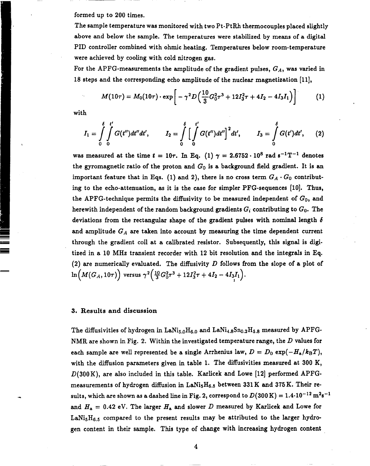formed up to 200 times.

The sample temperature was monitored with two Pt-PtRh thermocouples placed slightly above and below the sample. The temperatures were stabilized by means of a digital PID controller combined with ohmic heating. Temperatures below room-temperature were achieved by cooling with cold nitrogen gas.

For the APFG-measurements the amplitude of the gradient pulses,  $G_A$ , was varied in 18 steps and the corresponding echo amplitude of the nuclear magnetization [11],

$$
M(10\tau) = M_0(10\tau) \cdot \exp\bigg[-\gamma^2 D\bigg(\frac{10}{3}G_0^2\tau^3 + 12I_3^2\tau + 4I_2 - 4I_3I_1\bigg)\bigg] \qquad (1)
$$

with

$$
I_1 = \int\limits_0^{\delta} \int\limits_0^{t'} G(t'') dt'' dt', \qquad I_2 = \int\limits_0^{\delta} \Big[ \int\limits_0^{t'} G(t'') dt'' \Big]^2 dt', \qquad I_3 = \int\limits_0^{\delta} G(t') dt', \qquad (2)
$$

was measured at the time  $t = 10\tau$ . In Eq. (1)  $\gamma = 2.6752 \cdot 10^8$  rad  $s^{-1}T^{-1}$  denotes the gyromagnetic ratio of the proton and  $G_0$  is a background field gradient. It is an important feature that in Eqs. (1) and 2), there is no cross term  $G_A \cdot G_0$  contributing to the echo-attenuation, as it is the case for simpler PFG-sequences [10]. Thus, the APFG-technique permits the diffusivity to be measured independent of  $G_0$ , and herewith independent of the random background gradients  $G_i$  contributing to  $G_0$ . The deviations from the rectangular shape of the gradient pulses with nominal length  $\delta$ and amplitude  $G_A$  are taken into account by measuring the time dependent current through the gradient coil at a calibrated resistor. Subsequently, this signal is digitized in a 10 MHz transient recorder with 12 bit resolution and the integrals in Eq. (2) are numerically evaluated. The diffusivity  $D$  follows from the slope of a plot of  $\ln\left(M(G_A,10\tau)\right)$  versus  $\gamma^2\left({10\over 3}G_0^2\tau^3+12I_3^2\tau+4I_2-4I_3I_1\right).$ 

#### 3. Results and discussion

.-

The diffusivities of hydrogen in LaNi<sub>5.0</sub>H<sub>6.0</sub> and LaNi<sub>4.8</sub>Sn<sub>0.2</sub>H<sub>5.8</sub> measured by APFG-NMR are shown in Fig. 2. Within the investigated temperature range, the  $D$  values for each sample are well represented be a single Arrhenius law,  $D = D_0 \exp(-H_a/k_BT)$ , with the diffusion parameters given in table 1. The diffusivities measured at 300 K, D(300 K), are also included in this table. **Karlicek and Lowe** [12] performed **APFG**measurements of hydrogen diffusion in  $\text{LaNi}_5\text{H}_6$ , between 331 K and 375 K. Their results, which are shown as a dashed line in Fig. 2, correspond to  $D(300\,\mathrm{K}) = 1.4 \cdot 10^{-12} \,\mathrm{m}^2\mathrm{s}^{-1}$ and  $H_a = 0.42$  eV. The larger  $H_a$  and slower D measured by Karlicek and Lowe for  $\text{LaNi}_5\text{H}_{6.5}$  compared to the present results may be attributed to the larger hydrogen content in their sample. This type of change with increasing hydrogen content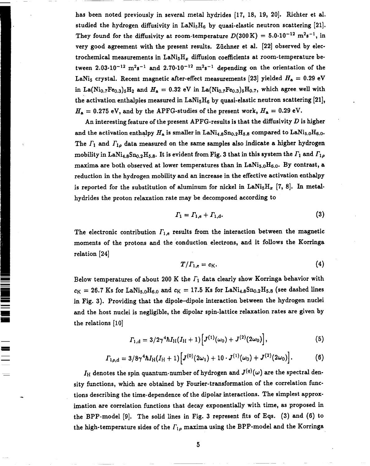has been noted previously in several metal hydrides [17, 18, 19, 20]. Richter et al. studied the hydrogen diffusivity in LaNi<sub>5</sub>H<sub>6</sub> by quasi-elastic neutron scattering [21]. They found for the diffusivity at room-temperature  $D(300\,\text{K}) = 5.0 \cdot 10^{-12} \text{ m/s}^{-1}$ , in very good agreement with the present results. Ziichner et al. [22] observed by electrochemical measurements in LaNi<sub>5</sub>H<sub>x</sub> diffusion coefficients at room-temperature between  $2.03 \cdot 10^{-12}$   $\mathrm{m}^2\mathrm{s}^{-1}$  and  $2.70 \cdot 10^{-12}$   $\mathrm{m}^2\mathrm{s}^{-1}$  depending on the orientation of the LaNis crystal. Recent magnetic after-effect measurements [23] yielded *Ha =* 0.29 eV in La $(\mathrm{Ni_{0.7}Fe_{0.3}})_{\mathrm{s}}\mathrm{H_2}$  and  $H_{\mathrm{a}} = 0.32$  eV in La $(\mathrm{Ni_{0.7}Fe_{0.3}})_{\mathrm{s}}\mathrm{H_0}$ .7, which agree well with the activation enthalpies measured in LaNi<sub>5</sub>H<sub>6</sub> by quasi-elastic neutron scattering [21],  $H_a = 0.275$  eV, and by the APFG-studies of the present work,  $H_a = 0.29$  eV.

**An** interesting feature of the present APFG-results is that the diffisivity D is higher and the activation enthalpy  $H_a$  is smaller in LaNi<sub>4.8</sub>Sn<sub>0.2</sub>H<sub>5.8</sub> compared to LaNi<sub>5.0</sub>H<sub>6.0</sub>. The  $\Gamma_1$  and  $\Gamma_{1\rho}$  data measured on the same samples also indicate a higher hydrogen mobility in LaNi<sub>4.8</sub>Sn<sub>0.2</sub>H<sub>5.8</sub>. It is evident from Fig. 3 that in this system the  $\Gamma_1$  and  $\Gamma_{1\rho}$ maxima are both observed at lower temperatures than in  $\text{LaNi}_{5.0}\text{H}_{6.0}$ . By contrast, a reduction in the hydrogen mobility and an increase in the effective activation enthalpy is reported for the substitution of aluminum for nickel in LaNi<sub>5</sub>H<sub>x</sub> [7, 8]. In metal hydrides the proton relaxation rate may be decomposed according to

$$
\Gamma_1 = \Gamma_{1,e} + \Gamma_{1,d}.\tag{3}
$$

The electronic contribution  $\Gamma_{1,e}$  results from the interaction between the magneti moments of the protons and the conduction electrons, and it follows the Korring. relation [24]

$$
T/\Gamma_{1,e}=c_{\rm K}.\tag{4}
$$

Below temperatures of about 200 K the  $\Gamma_1$  data clearly show Korringa behavior with  $c_K = 26.7$  Ks for LaNi<sub>5.0</sub>H<sub>6.0</sub> and  $c_K = 17.5$  Ks for LaNi<sub>4.8</sub>Sn<sub>0.2</sub>H<sub>5.8</sub> (see dashed lines in Fig. 3). Providing that the dipole-dipole interaction between the hydrogen nuclei and the host nuclei is negligible, the dipolar spin-lattice relaxation rates are given by the relations [10]

$$
\Gamma_{1,d}=3/2\gamma^4\hbar I_H(I_H+1)\Big[J^{(1)}(\omega_0)+J^{(2)}(2\omega_0)\Big],\qquad \qquad (5)
$$

$$
\Gamma_{1\rho,d}=3/8\gamma^4\hbar I_H(I_H+1)\Big[J^{(0)}(2\omega_1)+10\cdot J^{(1)}(\omega_0)+J^{(2)}(2\omega_0)\Big].
$$
 (6)

 $I_{\rm H}$  denotes the spin quantum-number of hydrogen and  $J^{(q)}(\omega)$  are the spectral density functions, which are obtained by Fourier-trmsforrnation of the correlation functions describing the time-dependence of the dipolar interactions. The simplest approximation are correlation functions that decay exponentially with time, as proposed in the BPP-model [9]. The solid lines in Fig. 3 represent fits of Eqs. (3) and (6) to the high-temperature sides of the  $\Gamma_{1\rho}$  maxima using the BPP-model and the Korringa

—

 $=$ 

=<br>=<br>=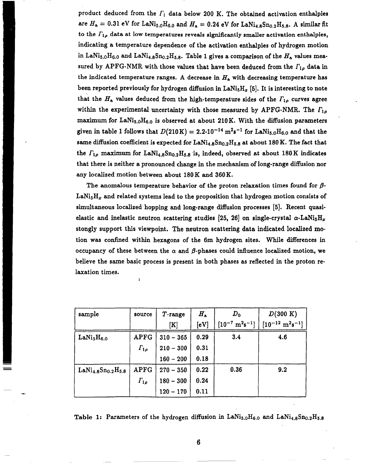product deduced from the  $\Gamma_1$  data below 200 K. The obtained activation enthalpies are  $H_a = 0.31$  eV for LaNi<sub>5.0</sub>H<sub>6.0</sub> and  $H_a = 0.24$  eV for LaNi<sub>4.8</sub>S<sub>n<sub>0.2</sub>H<sub>5.8</sub>. A similar fit</sub> to the  $\Gamma_{1\rho}$  data at low temperatures reveals significantly smaller activation enthalpies, indicating a temperature dependence of the activation enthalpies of hydrogen motion in LaNi<sub>5.0</sub>H<sub>6.0</sub> and LaNi<sub>4.8</sub>S<sub>n<sub>0.2</sub>H<sub>5.8</sub>. Table 1 gives a comparison of the  $H_a$  values mea-</sub> sured by APFG-NMR with those values that have been deduced from the  $\Gamma_{1\rho}$  data in the indicated temperature ranges. A decrease in  $H_a$  with decreasing temperature has been reported previously for hydrogen diffusion in  $\text{LaNi}_{5}\text{H}_{\textbf{x}}$  [5]. It is interesting to note that the  $H_a$  values deduced from the high-temperature sides of the  $\Gamma_{1\rho}$  curves agree within the experimental uncertainty with those measured by APFG-NMR. The  $\Gamma_{1\rho}$ maximum for LaNi<sub>5.0</sub>H<sub>6.0</sub> is observed at about 210K. With the diffusion parameters given in table 1 follows that  $D(210\,\text{K}) = 2.2 \cdot 10^{-14} \text{ m}^2 \text{s}^{-1}$  for LaNi<sub>5.0</sub>H<sub>6.0</sub> and that the same diffusion coefficient is expected for LaNi<sub>4.8</sub>Sn<sub>0.2</sub>H<sub>5.8</sub> at about 180 K. The fact that the  $\Gamma_{1\rho}$  maximum for LaNi<sub>4.8</sub>Sn<sub>0.2</sub>H<sub>5.8</sub> is, indeed, observed at about 180 K indicates that there is neither a pronounced change in the mechanism of long-range difihsion nor any localized motion between about 180 K and 360 K.

The anomalous temperature behavior of the proton relaxation times found for  $\beta$ - $\text{LaNi}_5\text{H}_x$  and related systems lead to the proposition that hydrogen motion consists of simultaneous localized hopping and long-range diffusion processes  $[5]$ . Recent quasielastic and inelastic neutron scattering studies [25, 26] on single-crystal  $\alpha$ -LaNi<sub>5</sub>H<sub>x</sub> stongly support this viewpoint. The neutron scattering data indicated localized motion was confined within hexagons of the 6m hydrogen sites. While differences in occupancy of these between the  $\alpha$  and  $\beta$ -phases could influence localized motion, we believe the same basic process is present in both phases as reflected in the proton relaxation times.

| sample                             | source           | $T$ -range  | $H_{\rm a}$                  | $D_0$                                 | $D(300 \text{ K})$                     |
|------------------------------------|------------------|-------------|------------------------------|---------------------------------------|----------------------------------------|
|                                    |                  | [K]         | $\left[ \mathrm{eV} \right]$ | $[10^{-7} \text{ m}^2 \text{s}^{-1}]$ | $[10^{-12} \text{ m}^2 \text{s}^{-1}]$ |
| LaNi <sub>5</sub> H <sub>6.0</sub> | <b>APFG</b>      | $310 - 365$ | 0.29                         | 3.4                                   | 4.6                                    |
|                                    | $\Gamma_{1\rho}$ | $210 - 300$ | 0.31                         |                                       |                                        |
|                                    |                  | $160 - 200$ | 0.18                         |                                       |                                        |
| $LaNi_{4.8}Sn_{0.2}H_{5.8}$        | <b>APFG</b>      | $270 - 350$ | 0.22                         | 0.36                                  | 9.2                                    |
|                                    | $\Gamma_{1\rho}$ | $180 - 300$ | 0.24                         |                                       |                                        |
|                                    |                  | $120 - 170$ | 0.11                         |                                       |                                        |

:

-

.4

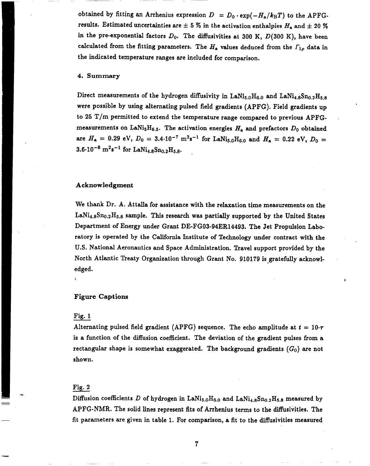obtained by fitting an Arrhenius expression  $D = D_0 \cdot \exp(-H_a/k_BT)$  to the APFG. results. Estimated uncertainties are  $\pm$  5  $\%$  in the activation enthalpies  $H_{\tt a}$  and  $\pm$  20  $\%$ in the pre-exponential factors  $D_0$ . The diffusivities at 300 K,  $D(300 \text{ K})$ , have been calculated from the fitting parameters. The  $H_a$  values deduced from the  $\varGamma_{1\rho}$  data in the indicated temperature ranges are included for comparison.

#### 4. Summary

Direct measurements of the hydrogen diffusivity in LaNi<sub>5.0</sub>H<sub>6.0</sub> and LaNi<sub>4.8</sub>Sn<sub>0.2</sub>H<sub>5.8</sub> were possible by using alternating pulsed field gradients (APFG). Field gradients up to 25 T/m permitted to extend the temperature range compared to previous APFGmeasurements on LaNi<sub>5</sub>H<sub>6.5</sub>. The activation energies  $H_a$  and prefactors  $D_0$  obtained are  $H_a = 0.29 \text{ eV}, D_0 = 3.4 \cdot 10^{-7} \text{ m}^2 \text{s}^{-1}$  for LaNi<sub>5.0</sub>H<sub>6.0</sub> and  $H_a = 0.22 \text{ eV}, D_0 =$  $3.6.10^{-8}$  m<sup>2</sup>s<sup>-1</sup> for LaNi<sub>4.8</sub>Sn<sub>0.2</sub>H<sub>5.8</sub>.

### Acknowledgment

We thank Dr. A. Attalla for assistance with the relaxation time measurements on the  $\text{LaNi}_{4.8}\text{Sn}_{0.2}\text{H}_{5.8}$  sample. This research was partially supported by the United States Department of Energy under Grant DE-FG03-94ER14493. The Jet Propulsion Laboratory is operated by the California Institute of Technology under contract with the U.S. National Aeronautics and Space Administration. Travel support provided by the North Atlantic Treaty Organization through Grant No. 910179 is gratefully acknowledged.

#### Figure Captions

#### Fie. 1

Alternating pulsed field gradient (APFG) sequence. The echo amplitude at  $t = 10 \cdot \tau$ is a function of the diffusion coefficient. The deviation of the gradient pulses from a rectangular shape is somewhat exaggerated. The background gradients  $(G_0)$  are not shown.

# Fig. 2

.

.

Diffusion coefficients *D* of hydrogen in LaNi<sub>5.0</sub>H<sub>6.0</sub> and LaNi<sub>4.8</sub>Sn<sub>0.2</sub>H<sub>5.8</sub> measured by APFG-NMR. The solid lines represent fits of Arrhenius terms to the diffusivities. The fit parameters are given in table 1. For comparison, a fit to the difusivities measured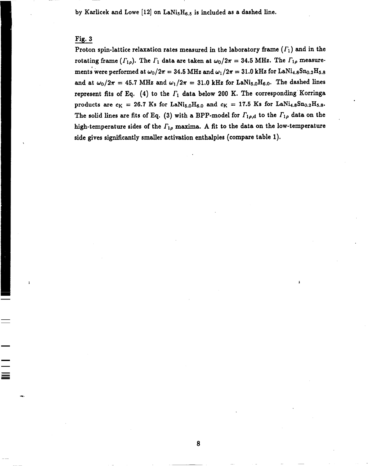by Karlicek and Lowe [12] on LaNi<sub>5</sub>H<sub>6.5</sub> is included as a dashed line.

## Fig. 3

:

—

—

— — . ~

.d.

Proton spin-lattice relaxation rates measured in the laboratory frame  $(\Gamma_1)$  and in the rotating frame  $(\Gamma_{1\rho})$ . The  $\Gamma_1$  data are taken at  $\omega_0/2\pi = 34.5$  MHz. The  $\Gamma_{1\rho}$  measurements were performed at  $\omega_0/2\pi = 34.5$  MHz and  $\omega_1/2\pi = 31.0$  kHz for LaNi<sub>4.8</sub>Sn<sub>0.2</sub>H<sub>5.8</sub> and at  $\omega_0/2\pi = 45.7$  MHz and  $\omega_1/2\pi = 31.0$  kHz for LaNi<sub>5.0</sub>H<sub>6.0</sub>. The dashed lines represent fits of Eq. (4) to the  $\Gamma_1$  data below 200 K. The corresponding Korringa products are  $c_K = 26.7$  Ks for LaNi<sub>5.0</sub>H<sub>6.0</sub> and  $c_K = 17.5$  Ks for LaNi<sub>4.8</sub>Sn<sub>0.2</sub>H<sub>5.8</sub>. The solid lines are fits of Eq. (3) with a BPP-model for  $\Gamma_{1\rho,d}$  to the  $\Gamma_{1\rho}$  data on the high-temperature sides of the  $\Gamma_{1\rho}$  maxima. A fit to the data on the low-temperature side gives significantly smaller activation enthalpies (compare table 1).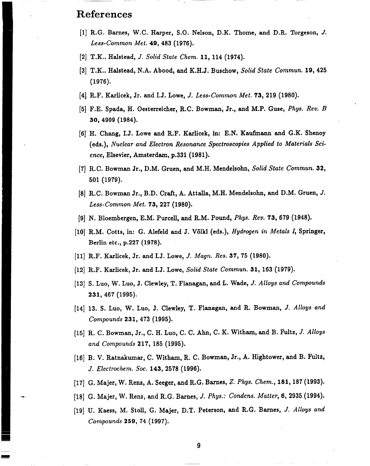# **References**

. .

- [1] R.G. Barnes, W.C. Harper, S.0. Nelson, D.K. Theme, and D.R. Torgeson, J. *Less-Comnaon Met.* 49,483 (1976).
- [2] T. K.. Halstead, *J. Solid State Chem.* 11, 114 (1974).
- [3] T. K.. Halstead, N.A. Abood, and K.H.J. Buschow, *Solid State C'ommun.* 19, 425 (1976).
- [4J **R.F.** Karlicek, Jr. and I.J. Lowe, *J. Less-Common Met.* 73,219 (1980).
- [5] F.E. Spada, H. Oesterreicher, R.C. Bowman, Jr., and M.P. Guse, Phys. *Rev. B* 30, 4909 (1984).
- [6] H. Chang, I.J. Lowe and R.F. Karlicek, in: E.N. Kaufmann and G.K. Shenoy (eds.), *Nuclear and Electron Resonance Spectroscopes Applied to Materials Science,* Elsevier, Amsterdam, p.331 (1981).
- [7] R.C. Bowman Jr., D.M. Gruen, and M.H. Mendelssohn, *Solid State Commun.* 32, 501 (1979).
- [8] **R.C.** Bowman Jr., B.D. Craft, A. Attalla, M.H. Mendelssohn, and D.M. Gruen, *J. Less-Common Met.* 73,227 (1980).
- [9] N. Bloembergen, E.M. Purcell, and R.M. Pound, *Phys. Rev.* 73, 679 (1948).
- [10] R.M. Cotts, in: G. Alefeld and J. Völkl (eds.), *Hydrogen in Metals I*, Springer Berlin etc., p.227 (1978).
- [11] R.F. Karlicek, Jr. and I.J. Lowe, *J. Magn. Res.* 37, 75 (1980).
- [12] R.F. Karlicek, Jr. and I.J. Lowe, Solid *State Comrnun.* 31, 163 (1979).
- [13] S. Luo, W. Luo, J. Clewley, T. Flanagan, and L. Wade, *J. Alloys and Compounds* 231, 467 (1995).
- [14] 13. S. Luo, W. Luo, J. Clewley, T. Flanagan, and R. Bowman, *J. Alloys and Compounds* 231,473 (1995).
- [15] R. C. Bowman, Jr., C. H. Luo, C. C. Ahn, C. K. Witham, and B. Fultz, *J. Alloys and Compounds 217, 185 (1995).*
- [16] B. V. Ratnakumar, C. Witham, R. C. Bowman, Jr., A. Hightower, and B. Fultz, *J. Electrochem. Sot.* 143, 2578 (1996).
- [17] G. Majer, W. Rem, A. Seeger, and R.G. Barnes, Z. Phys. *Chem.,* 181, 187 (1993).
- [18] G. Majer, W. Renz, and R.G. Barnes, *J. Phys.: Condens. Matter*, 6, 2935 (1994).
- [19] U. Kaess, M. Stoll, G. Majer, D.T. Peterson, and R.G. Barnes, *J. Alloys and Compounds* 259, 74 (1997).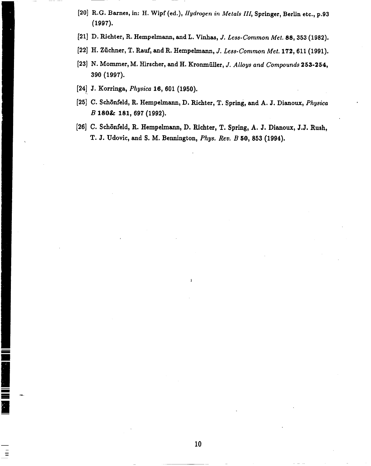- [20] R.G. Barnes, in: H. Wipf (cd.), *Hydrogen in Metals 11/,* Springer, Berlin etc., p.93 (1997).
- [21] D. Richter, R. Hempelmann, and L. Vinhas, *J. Less-Common Met.* 88, 353 (1982
- [22] H. Ziichner, T. Rauf, and R. Hempelxnann, *J, Less-common Met.* 172,611 (1991).
- [23] N. Mornmer, M. Hirscher, and H. Kronmiiller, *J. Alloys and Compounds* 253-254, 390 (1997).
- [24], J. Korringa, *Physics* 16,601 (1950).

**THE REAL PROPERTY AND** 

 $\equiv$ 

- [25] C. Schönfeld, R. Hempelmann, D. Richter, T. Spring, and A. J. Dianoux,  $Physical$ 1? 180& 181,697 (1992).
- [26] C. Schönfeld, R. Hempelmann, D. Richter, T. Spring, A. J. Dianoux, J.J. Rush T. J. Udovic, and S. M. Bennington, Fhys. *Rev. B* 50,853 (1994).

: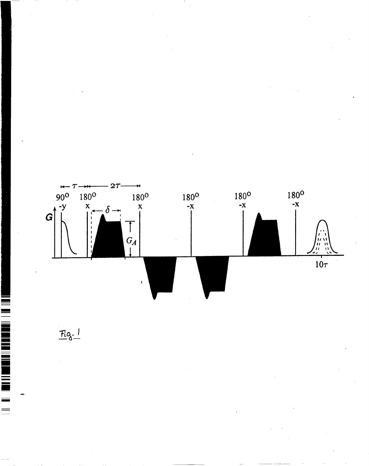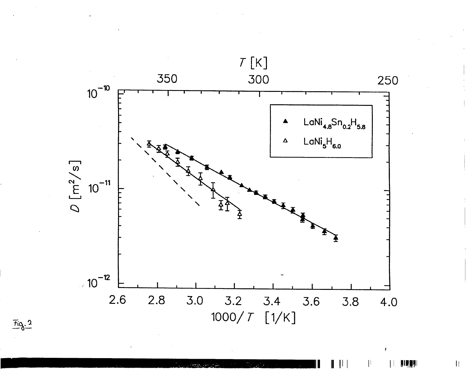

肌膜肌

 $\| \cdot \|$ 

 $\begin{array}{c} \rule{0pt}{2ex} \rule{0pt}{2ex} \rule{0pt}{2ex} \rule{0pt}{2ex} \rule{0pt}{2ex} \rule{0pt}{2ex} \rule{0pt}{2ex} \rule{0pt}{2ex} \rule{0pt}{2ex} \rule{0pt}{2ex} \rule{0pt}{2ex} \rule{0pt}{2ex} \rule{0pt}{2ex} \rule{0pt}{2ex} \rule{0pt}{2ex} \rule{0pt}{2ex} \rule{0pt}{2ex} \rule{0pt}{2ex} \rule{0pt}{2ex} \rule{0pt}{2ex} \rule{0pt}{2ex} \rule{0pt}{2ex} \rule{0pt}{2ex} \rule{0pt}{$ 

 $T_{0}$   $2$